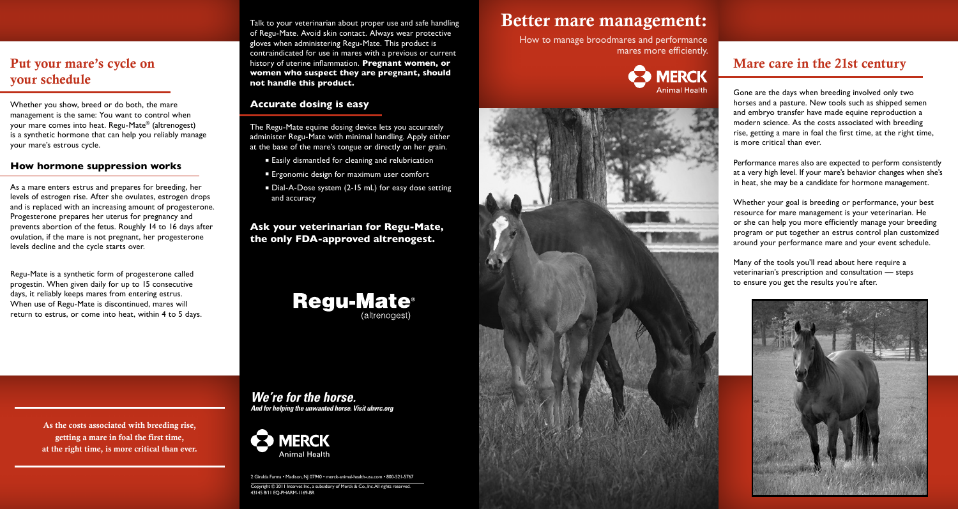# Better mare management:

How to manage broodmares and performance mares more efficiently.





## Mare care in the 21st century

Gone are the days when breeding involved only two horses and a pasture. New tools such as shipped semen and embryo transfer have made equine reproduction a modern science. As the costs associated with breeding rise, getting a mare in foal the first time, at the right time, is more critical than ever.

Performance mares also are expected to perform consistently at a very high level. If your mare's behavior changes when she's in heat, she may be a candidate for hormone management.

Whether your goal is breeding or performance, your best resource for mare management is your veterinarian. He or she can help you more efficiently manage your breeding program or put together an estrus control plan customized around your performance mare and your event schedule.

Many of the tools you'll read about here require a veterinarian's prescription and consultation — steps to ensure you get the results you're after.

As the costs associated with breeding rise, getting a mare in foal the first time, at the right time, is more critical than ever.



Put your mare's cycle on your schedule

Whether you show, breed or do both, the mare management is the same: You want to control when your mare comes into heat. Regu-Mate® (altrenogest) is a synthetic hormone that can help you reliably manage your mare's estrous cycle.

- Easily dismantled for cleaning and relubrication
- **E** Ergonomic design for maximum user comfort
- Dial-A-Dose system (2-15 mL) for easy dose setting and accuracy

#### **How hormone suppression works**

As a mare enters estrus and prepares for breeding, her levels of estrogen rise. After she ovulates, estrogen drops and is replaced with an increasing amount of progesterone. Progesterone prepares her uterus for pregnancy and prevents abortion of the fetus. Roughly 14 to 16 days after ovulation, if the mare is not pregnant, her progesterone levels decline and the cycle starts over.

Regu-Mate is a synthetic form of progesterone called progestin. When given daily for up to 15 consecutive days, it reliably keeps mares from entering estrus. When use of Regu-Mate is discontinued, mares will return to estrus, or come into heat, within 4 to 5 days.

Talk to your veterinarian about proper use and safe handling of Regu-Mate. Avoid skin contact. Always wear protective gloves when administering Regu-Mate. This product is contraindicated for use in mares with a previous or current history of uterine inflammation. **Pregnant women, or women who suspect they are pregnant, should not handle this product.** 

#### **Accurate dosing is easy**

The Regu-Mate equine dosing device lets you accurately administer Regu-Mate with minimal handling. Apply either at the base of the mare's tongue or directly on her grain.

#### **Ask your veterinarian for Regu-Mate, the only FDA-approved altrenogest.**



*We're for the horse. And for helping the unwanted horse. Visit uhvrc.org*



2 Giralda Farms • Madison, NJ 07940 • merck-animal-health-usa.com • 800-521-5767

Copyright © 2011 Intervet Inc., a subsidiary of Merck & Co., Inc. All rights reserved. 43145 8/11 EQ-PHARM-1169-BR